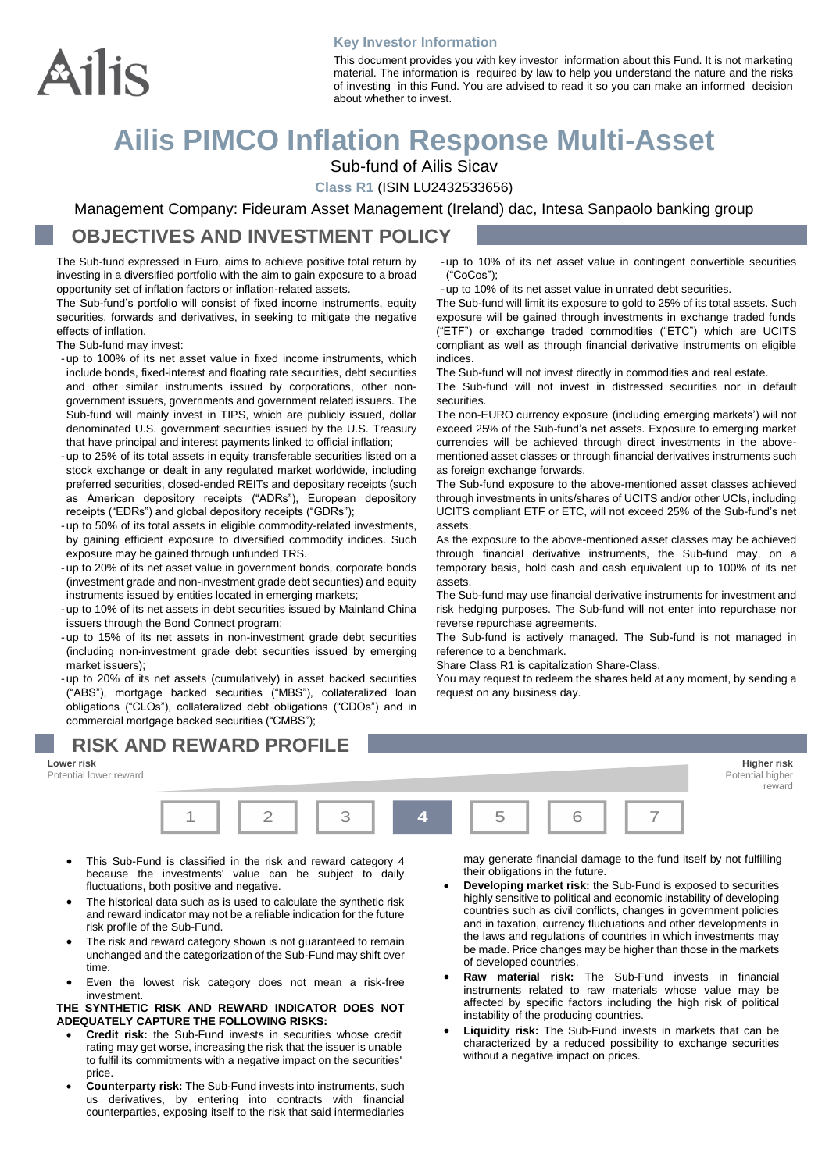

#### **Key Investor Information**

This document provides you with key investor information about this Fund. It is not marketing material. The information is required by law to help you understand the nature and the risks of investing in this Fund. You are advised to read it so you can make an informed decision about whether to invest.

# **Ailis PIMCO Inflation Response Multi-Asset**

Sub-fund of Ailis Sicav

**Class R1** (ISIN LU2432533656)

Management Company: Fideuram Asset Management (Ireland) dac, Intesa Sanpaolo banking group

### **OBJECTIVES AND INVESTMENT POLICY**

The Sub-fund expressed in Euro, aims to achieve positive total return by investing in a diversified portfolio with the aim to gain exposure to a broad opportunity set of inflation factors or inflation-related assets.

The Sub-fund's portfolio will consist of fixed income instruments, equity securities, forwards and derivatives, in seeking to mitigate the negative effects of inflation.

The Sub-fund may invest:

- -up to 100% of its net asset value in fixed income instruments, which include bonds, fixed-interest and floating rate securities, debt securities and other similar instruments issued by corporations, other nongovernment issuers, governments and government related issuers. The Sub-fund will mainly invest in TIPS, which are publicly issued, dollar denominated U.S. government securities issued by the U.S. Treasury that have principal and interest payments linked to official inflation;
- -up to 25% of its total assets in equity transferable securities listed on a stock exchange or dealt in any regulated market worldwide, including preferred securities, closed-ended REITs and depositary receipts (such as American depository receipts ("ADRs"), European depository receipts ("EDRs") and global depository receipts ("GDRs");
- -up to 50% of its total assets in eligible commodity-related investments, by gaining efficient exposure to diversified commodity indices. Such exposure may be gained through unfunded TRS.
- -up to 20% of its net asset value in government bonds, corporate bonds (investment grade and non-investment grade debt securities) and equity instruments issued by entities located in emerging markets;
- -up to 10% of its net assets in debt securities issued by Mainland China issuers through the Bond Connect program;
- -up to 15% of its net assets in non-investment grade debt securities (including non-investment grade debt securities issued by emerging market issuers);

-up to 20% of its net assets (cumulatively) in asset backed securities ("ABS"), mortgage backed securities ("MBS"), collateralized loan obligations ("CLOs"), collateralized debt obligations ("CDOs") and in commercial mortgage backed securities ("CMBS");

-up to 10% of its net asset value in contingent convertible securities ("CoCos");

-up to 10% of its net asset value in unrated debt securities.

The Sub-fund will limit its exposure to gold to 25% of its total assets. Such exposure will be gained through investments in exchange traded funds ("ETF") or exchange traded commodities ("ETC") which are UCITS compliant as well as through financial derivative instruments on eligible indices.

The Sub-fund will not invest directly in commodities and real estate.

The Sub-fund will not invest in distressed securities nor in default securities.

The non-EURO currency exposure (including emerging markets') will not exceed 25% of the Sub-fund's net assets. Exposure to emerging market currencies will be achieved through direct investments in the abovementioned asset classes or through financial derivatives instruments such as foreign exchange forwards.

The Sub-fund exposure to the above-mentioned asset classes achieved through investments in units/shares of UCITS and/or other UCIs, including UCITS compliant ETF or ETC, will not exceed 25% of the Sub-fund's net assets.

As the exposure to the above-mentioned asset classes may be achieved through financial derivative instruments, the Sub-fund may, on a temporary basis, hold cash and cash equivalent up to 100% of its net assets.

The Sub-fund may use financial derivative instruments for investment and risk hedging purposes. The Sub-fund will not enter into repurchase nor reverse repurchase agreements.

The Sub-fund is actively managed. The Sub-fund is not managed in reference to a benchmark.

Share Class R1 is capitalization Share-Class.

You may request to redeem the shares held at any moment, by sending a request on any business day.

### **RISK AND REWARD PROFILE**



- This Sub-Fund is classified in the risk and reward category 4 because the investments' value can be subject to daily fluctuations, both positive and negative.
- The historical data such as is used to calculate the synthetic risk and reward indicator may not be a reliable indication for the future risk profile of the Sub-Fund.
- The risk and reward category shown is not guaranteed to remain unchanged and the categorization of the Sub-Fund may shift over time.
- Even the lowest risk category does not mean a risk-free investment.

#### **THE SYNTHETIC RISK AND REWARD INDICATOR DOES NOT ADEQUATELY CAPTURE THE FOLLOWING RISKS:**

- **Credit risk:** the Sub-Fund invests in securities whose credit rating may get worse, increasing the risk that the issuer is unable to fulfil its commitments with a negative impact on the securities' price.
- **Counterparty risk:** The Sub-Fund invests into instruments, such us derivatives, by entering into contracts with financial counterparties, exposing itself to the risk that said intermediaries

may generate financial damage to the fund itself by not fulfilling their obligations in the future.

- **Developing market risk:** the Sub-Fund is exposed to securities highly sensitive to political and economic instability of developing countries such as civil conflicts, changes in government policies and in taxation, currency fluctuations and other developments in the laws and regulations of countries in which investments may be made. Price changes may be higher than those in the markets of developed countries.
- **Raw material risk:** The Sub-Fund invests in financial instruments related to raw materials whose value may be affected by specific factors including the high risk of political instability of the producing countries.
- **Liquidity risk:** The Sub-Fund invests in markets that can be characterized by a reduced possibility to exchange securities without a negative impact on prices.

**Lower risk Higher risk** reward